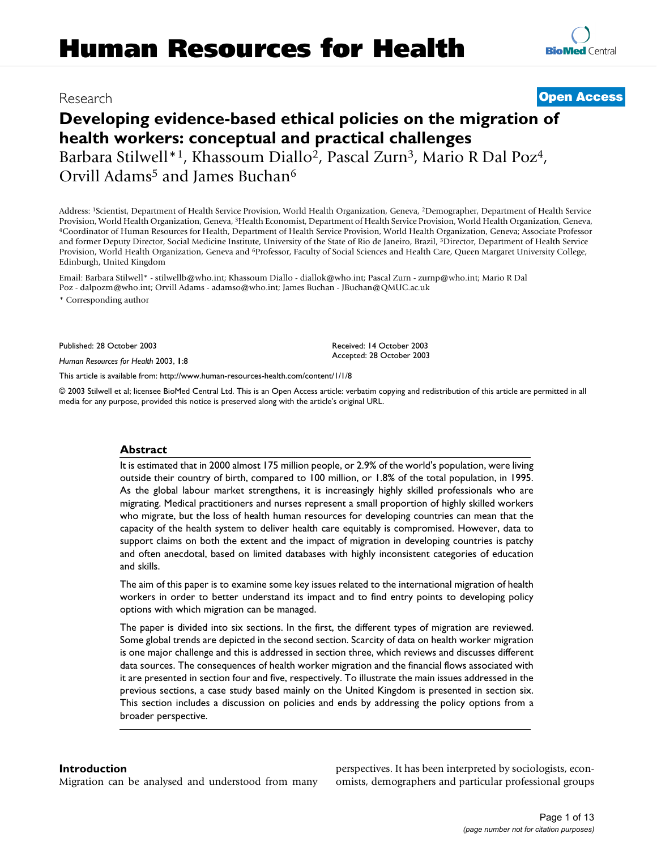# Research **[Open Access](http://www.biomedcentral.com/info/about/charter/)**

**[BioMed](http://www.biomedcentral.com/)** Central

# **Developing evidence-based ethical policies on the migration of health workers: conceptual and practical challenges** Barbara Stilwell\*<sup>1</sup>, Khassoum Diallo<sup>2</sup>, Pascal Zurn<sup>3</sup>, Mario R Dal Poz<sup>4</sup>, Orvill Adams<sup>5</sup> and James Buchan<sup>6</sup>

Address: 1Scientist, Department of Health Service Provision, World Health Organization, Geneva, 2Demographer, Department of Health Service Provision, World Health Organization, Geneva, <sup>3</sup>Health Economist, Department of Health Service Provision, World Health Organization, Geneva, A<sup>4</sup>Coordinator of Human Resources for Health, Department of Health Service Prov and former Deputy Director, Social Medicine Institute, University of the State of Rio de Janeiro, Brazil, 5Director, Department of Health Service Provision, World Health Organization, Geneva and 6Professor, Faculty of Social Sciences and Health Care, Queen Margaret University College, Edinburgh, United Kingdom

Email: Barbara Stilwell\* - stilwellb@who.int; Khassoum Diallo - diallok@who.int; Pascal Zurn - zurnp@who.int; Mario R Dal Poz - dalpozm@who.int; Orvill Adams - adamso@who.int; James Buchan - JBuchan@QMUC.ac.uk \* Corresponding author

Published: 28 October 2003

*Human Resources for Health* 2003, **1**:8

[This article is available from: http://www.human-resources-health.com/content/1/1/8](http://www.human-resources-health.com/content/1/1/8)

© 2003 Stilwell et al; licensee BioMed Central Ltd. This is an Open Access article: verbatim copying and redistribution of this article are permitted in all media for any purpose, provided this notice is preserved along with the article's original URL.

Received: 14 October 2003 Accepted: 28 October 2003

### **Abstract**

It is estimated that in 2000 almost 175 million people, or 2.9% of the world's population, were living outside their country of birth, compared to 100 million, or 1.8% of the total population, in 1995. As the global labour market strengthens, it is increasingly highly skilled professionals who are migrating. Medical practitioners and nurses represent a small proportion of highly skilled workers who migrate, but the loss of health human resources for developing countries can mean that the capacity of the health system to deliver health care equitably is compromised. However, data to support claims on both the extent and the impact of migration in developing countries is patchy and often anecdotal, based on limited databases with highly inconsistent categories of education and skills.

The aim of this paper is to examine some key issues related to the international migration of health workers in order to better understand its impact and to find entry points to developing policy options with which migration can be managed.

The paper is divided into six sections. In the first, the different types of migration are reviewed. Some global trends are depicted in the second section. Scarcity of data on health worker migration is one major challenge and this is addressed in section three, which reviews and discusses different data sources. The consequences of health worker migration and the financial flows associated with it are presented in section four and five, respectively. To illustrate the main issues addressed in the previous sections, a case study based mainly on the United Kingdom is presented in section six. This section includes a discussion on policies and ends by addressing the policy options from a broader perspective.

### **Introduction**

Migration can be analysed and understood from many

perspectives. It has been interpreted by sociologists, economists, demographers and particular professional groups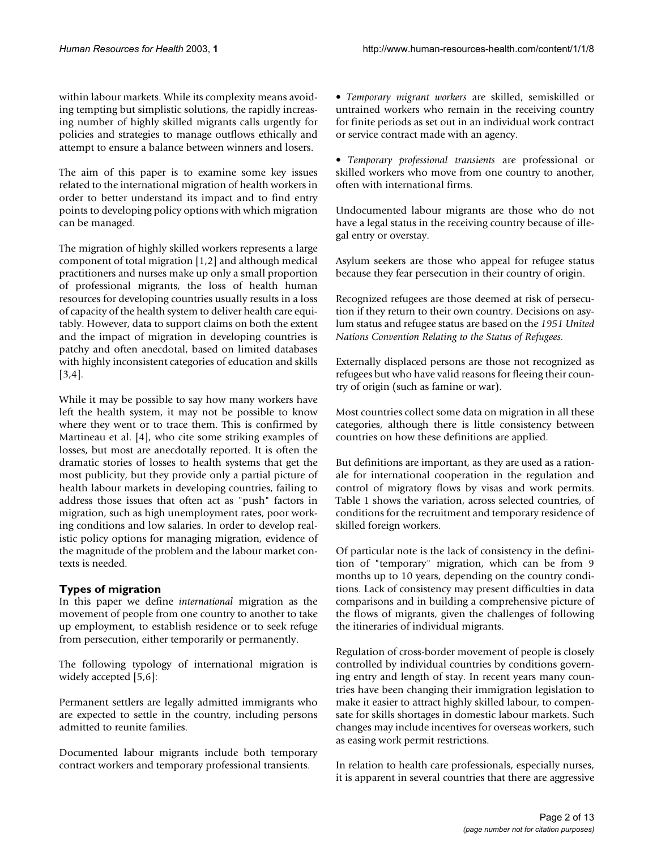within labour markets. While its complexity means avoiding tempting but simplistic solutions, the rapidly increasing number of highly skilled migrants calls urgently for policies and strategies to manage outflows ethically and attempt to ensure a balance between winners and losers.

The aim of this paper is to examine some key issues related to the international migration of health workers in order to better understand its impact and to find entry points to developing policy options with which migration can be managed.

The migration of highly skilled workers represents a large component of total migration [1,2] and although medical practitioners and nurses make up only a small proportion of professional migrants, the loss of health human resources for developing countries usually results in a loss of capacity of the health system to deliver health care equitably. However, data to support claims on both the extent and the impact of migration in developing countries is patchy and often anecdotal, based on limited databases with highly inconsistent categories of education and skills [3,4].

While it may be possible to say how many workers have left the health system, it may not be possible to know where they went or to trace them. This is confirmed by Martineau et al. [4], who cite some striking examples of losses, but most are anecdotally reported. It is often the dramatic stories of losses to health systems that get the most publicity, but they provide only a partial picture of health labour markets in developing countries, failing to address those issues that often act as "push" factors in migration, such as high unemployment rates, poor working conditions and low salaries. In order to develop realistic policy options for managing migration, evidence of the magnitude of the problem and the labour market contexts is needed.

# **Types of migration**

In this paper we define *international* migration as the movement of people from one country to another to take up employment, to establish residence or to seek refuge from persecution, either temporarily or permanently.

The following typology of international migration is widely accepted [5,6]:

Permanent settlers are legally admitted immigrants who are expected to settle in the country, including persons admitted to reunite families.

Documented labour migrants include both temporary contract workers and temporary professional transients.

• *Temporary migrant workers* are skilled, semiskilled or untrained workers who remain in the receiving country for finite periods as set out in an individual work contract or service contract made with an agency.

• *Temporary professional transients* are professional or skilled workers who move from one country to another, often with international firms.

Undocumented labour migrants are those who do not have a legal status in the receiving country because of illegal entry or overstay.

Asylum seekers are those who appeal for refugee status because they fear persecution in their country of origin.

Recognized refugees are those deemed at risk of persecution if they return to their own country. Decisions on asylum status and refugee status are based on the *1951 United Nations Convention Relating to the Status of Refugees.*

Externally displaced persons are those not recognized as refugees but who have valid reasons for fleeing their country of origin (such as famine or war).

Most countries collect some data on migration in all these categories, although there is little consistency between countries on how these definitions are applied.

But definitions are important, as they are used as a rationale for international cooperation in the regulation and control of migratory flows by visas and work permits. Table [1](#page-2-0) shows the variation, across selected countries, of conditions for the recruitment and temporary residence of skilled foreign workers.

Of particular note is the lack of consistency in the definition of "temporary" migration, which can be from 9 months up to 10 years, depending on the country conditions. Lack of consistency may present difficulties in data comparisons and in building a comprehensive picture of the flows of migrants, given the challenges of following the itineraries of individual migrants.

Regulation of cross-border movement of people is closely controlled by individual countries by conditions governing entry and length of stay. In recent years many countries have been changing their immigration legislation to make it easier to attract highly skilled labour, to compensate for skills shortages in domestic labour markets. Such changes may include incentives for overseas workers, such as easing work permit restrictions.

In relation to health care professionals, especially nurses, it is apparent in several countries that there are aggressive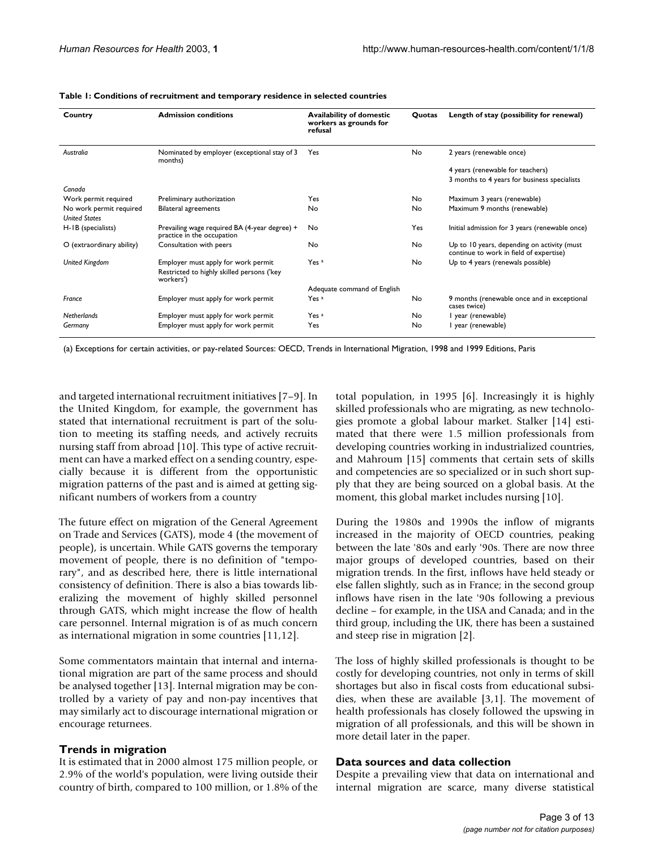| Country                   | <b>Admission conditions</b>                                                 | <b>Availability of domestic</b><br>workers as grounds for<br>refusal | Quotas | Length of stay (possibility for renewal)                                               |
|---------------------------|-----------------------------------------------------------------------------|----------------------------------------------------------------------|--------|----------------------------------------------------------------------------------------|
| Australia                 | Nominated by employer (exceptional stay of 3<br>months)                     | Yes                                                                  | No     | 2 years (renewable once)                                                               |
|                           |                                                                             |                                                                      |        | 4 years (renewable for teachers)                                                       |
|                           |                                                                             |                                                                      |        | 3 months to 4 years for business specialists                                           |
| Canada                    |                                                                             |                                                                      |        |                                                                                        |
| Work permit required      | Preliminary authorization                                                   | <b>Yes</b>                                                           | No     | Maximum 3 years (renewable)                                                            |
| No work permit required   | <b>Bilateral agreements</b>                                                 | No                                                                   | No     | Maximum 9 months (renewable)                                                           |
| <b>United States</b>      |                                                                             |                                                                      |        |                                                                                        |
| H-IB (specialists)        | Prevailing wage required BA (4-year degree) +<br>practice in the occupation | No                                                                   | Yes    | Initial admission for 3 years (renewable once)                                         |
| O (extraordinary ability) | Consultation with peers                                                     | No                                                                   | No     | Up to 10 years, depending on activity (must<br>continue to work in field of expertise) |
| <b>United Kingdom</b>     | Employer must apply for work permit                                         | Yes <sup>a</sup>                                                     | No     | Up to 4 years (renewals possible)                                                      |
|                           | Restricted to highly skilled persons ('key<br>workers')                     |                                                                      |        |                                                                                        |
|                           |                                                                             | Adequate command of English                                          |        |                                                                                        |
| France                    | Employer must apply for work permit                                         | Yes <sup>a</sup>                                                     | No     | 9 months (renewable once and in exceptional<br>cases twice)                            |
| <b>Netherlands</b>        | Employer must apply for work permit                                         | Yes <sup>a</sup>                                                     | No     | I year (renewable)                                                                     |
| Germany                   | Employer must apply for work permit                                         | Yes                                                                  | No     | I year (renewable)                                                                     |

#### <span id="page-2-0"></span>**Table 1: Conditions of recruitment and temporary residence in selected countries**

(a) Exceptions for certain activities, or pay-related Sources: OECD, Trends in International Migration, 1998 and 1999 Editions, Paris

and targeted international recruitment initiatives [7–9]. In the United Kingdom, for example, the government has stated that international recruitment is part of the solution to meeting its staffing needs, and actively recruits nursing staff from abroad [10]. This type of active recruitment can have a marked effect on a sending country, especially because it is different from the opportunistic migration patterns of the past and is aimed at getting significant numbers of workers from a country

The future effect on migration of the General Agreement on Trade and Services (GATS), mode 4 (the movement of people), is uncertain. While GATS governs the temporary movement of people, there is no definition of "temporary", and as described here, there is little international consistency of definition. There is also a bias towards liberalizing the movement of highly skilled personnel through GATS, which might increase the flow of health care personnel. Internal migration is of as much concern as international migration in some countries [11,12].

Some commentators maintain that internal and international migration are part of the same process and should be analysed together [13]. Internal migration may be controlled by a variety of pay and non-pay incentives that may similarly act to discourage international migration or encourage returnees.

### **Trends in migration**

It is estimated that in 2000 almost 175 million people, or 2.9% of the world's population, were living outside their country of birth, compared to 100 million, or 1.8% of the total population, in 1995 [6]. Increasingly it is highly skilled professionals who are migrating, as new technologies promote a global labour market. Stalker [14] estimated that there were 1.5 million professionals from developing countries working in industrialized countries, and Mahroum [15] comments that certain sets of skills and competencies are so specialized or in such short supply that they are being sourced on a global basis. At the moment, this global market includes nursing [10].

During the 1980s and 1990s the inflow of migrants increased in the majority of OECD countries, peaking between the late '80s and early '90s. There are now three major groups of developed countries, based on their migration trends. In the first, inflows have held steady or else fallen slightly, such as in France; in the second group inflows have risen in the late '90s following a previous decline – for example, in the USA and Canada; and in the third group, including the UK, there has been a sustained and steep rise in migration [2].

The loss of highly skilled professionals is thought to be costly for developing countries, not only in terms of skill shortages but also in fiscal costs from educational subsidies, when these are available [3,1]. The movement of health professionals has closely followed the upswing in migration of all professionals, and this will be shown in more detail later in the paper.

#### **Data sources and data collection**

Despite a prevailing view that data on international and internal migration are scarce, many diverse statistical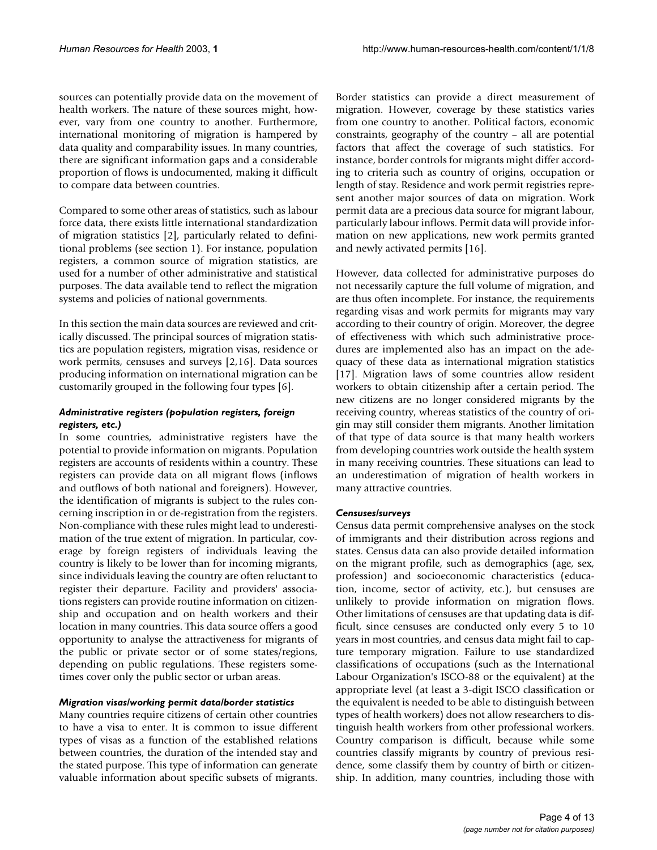sources can potentially provide data on the movement of health workers. The nature of these sources might, however, vary from one country to another. Furthermore, international monitoring of migration is hampered by data quality and comparability issues. In many countries, there are significant information gaps and a considerable proportion of flows is undocumented, making it difficult to compare data between countries.

Compared to some other areas of statistics, such as labour force data, there exists little international standardization of migration statistics [2], particularly related to definitional problems (see section 1). For instance, population registers, a common source of migration statistics, are used for a number of other administrative and statistical purposes. The data available tend to reflect the migration systems and policies of national governments.

In this section the main data sources are reviewed and critically discussed. The principal sources of migration statistics are population registers, migration visas, residence or work permits, censuses and surveys [2,16]. Data sources producing information on international migration can be customarily grouped in the following four types [6].

# *Administrative registers (population registers, foreign registers, etc.)*

In some countries, administrative registers have the potential to provide information on migrants. Population registers are accounts of residents within a country. These registers can provide data on all migrant flows (inflows and outflows of both national and foreigners). However, the identification of migrants is subject to the rules concerning inscription in or de-registration from the registers. Non-compliance with these rules might lead to underestimation of the true extent of migration. In particular, coverage by foreign registers of individuals leaving the country is likely to be lower than for incoming migrants, since individuals leaving the country are often reluctant to register their departure. Facility and providers' associations registers can provide routine information on citizenship and occupation and on health workers and their location in many countries. This data source offers a good opportunity to analyse the attractiveness for migrants of the public or private sector or of some states/regions, depending on public regulations. These registers sometimes cover only the public sector or urban areas.

# *Migration visas/working permit data/border statistics*

Many countries require citizens of certain other countries to have a visa to enter. It is common to issue different types of visas as a function of the established relations between countries, the duration of the intended stay and the stated purpose. This type of information can generate valuable information about specific subsets of migrants.

Border statistics can provide a direct measurement of migration. However, coverage by these statistics varies from one country to another. Political factors, economic constraints, geography of the country – all are potential factors that affect the coverage of such statistics. For instance, border controls for migrants might differ according to criteria such as country of origins, occupation or length of stay. Residence and work permit registries represent another major sources of data on migration. Work permit data are a precious data source for migrant labour, particularly labour inflows. Permit data will provide information on new applications, new work permits granted and newly activated permits [16].

However, data collected for administrative purposes do not necessarily capture the full volume of migration, and are thus often incomplete. For instance, the requirements regarding visas and work permits for migrants may vary according to their country of origin. Moreover, the degree of effectiveness with which such administrative procedures are implemented also has an impact on the adequacy of these data as international migration statistics [17]. Migration laws of some countries allow resident workers to obtain citizenship after a certain period. The new citizens are no longer considered migrants by the receiving country, whereas statistics of the country of origin may still consider them migrants. Another limitation of that type of data source is that many health workers from developing countries work outside the health system in many receiving countries. These situations can lead to an underestimation of migration of health workers in many attractive countries.

### *Censuses/surveys*

Census data permit comprehensive analyses on the stock of immigrants and their distribution across regions and states. Census data can also provide detailed information on the migrant profile, such as demographics (age, sex, profession) and socioeconomic characteristics (education, income, sector of activity, etc.), but censuses are unlikely to provide information on migration flows. Other limitations of censuses are that updating data is difficult, since censuses are conducted only every 5 to 10 years in most countries, and census data might fail to capture temporary migration. Failure to use standardized classifications of occupations (such as the International Labour Organization's ISCO-88 or the equivalent) at the appropriate level (at least a 3-digit ISCO classification or the equivalent is needed to be able to distinguish between types of health workers) does not allow researchers to distinguish health workers from other professional workers. Country comparison is difficult, because while some countries classify migrants by country of previous residence, some classify them by country of birth or citizenship. In addition, many countries, including those with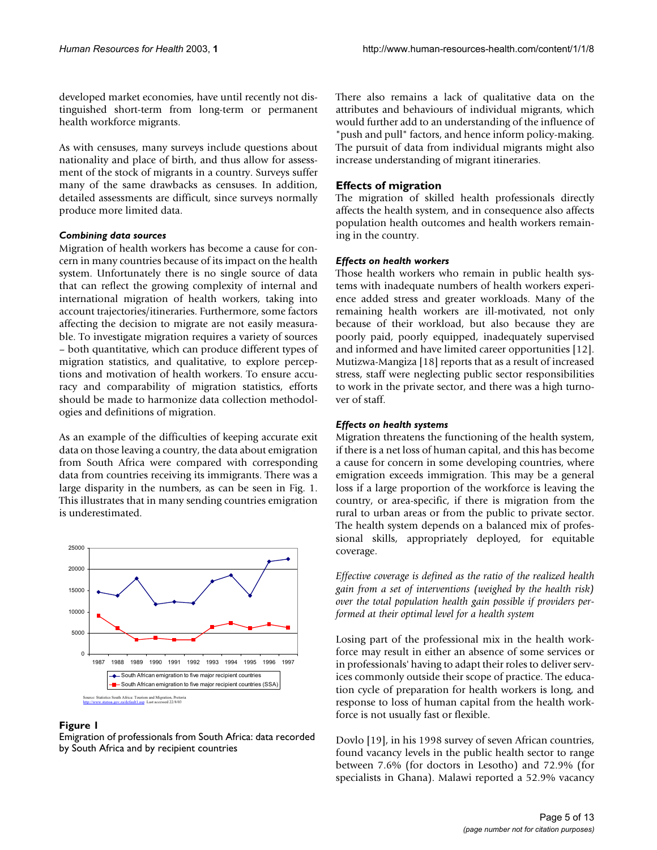developed market economies, have until recently not distinguished short-term from long-term or permanent health workforce migrants.

As with censuses, many surveys include questions about nationality and place of birth, and thus allow for assessment of the stock of migrants in a country. Surveys suffer many of the same drawbacks as censuses. In addition, detailed assessments are difficult, since surveys normally produce more limited data.

#### *Combining data sources*

Migration of health workers has become a cause for concern in many countries because of its impact on the health system. Unfortunately there is no single source of data that can reflect the growing complexity of internal and international migration of health workers, taking into account trajectories/itineraries. Furthermore, some factors affecting the decision to migrate are not easily measurable. To investigate migration requires a variety of sources – both quantitative, which can produce different types of migration statistics, and qualitative, to explore perceptions and motivation of health workers. To ensure accuracy and comparability of migration statistics, efforts should be made to harmonize data collection methodologies and definitions of migration.

As an example of the difficulties of keeping accurate exit data on those leaving a country, the data about emigration from South Africa were compared with corresponding data from countries receiving its immigrants. There was a large disparity in the numbers, as can be seen in Fig. 1. This illustrates that in many sending countries emigration is underestimated.



#### Figure 1

Emigration of professionals from South Africa: data recorded by South Africa and by recipient countries

There also remains a lack of qualitative data on the attributes and behaviours of individual migrants, which would further add to an understanding of the influence of "push and pull" factors, and hence inform policy-making. The pursuit of data from individual migrants might also increase understanding of migrant itineraries.

# **Effects of migration**

The migration of skilled health professionals directly affects the health system, and in consequence also affects population health outcomes and health workers remaining in the country.

#### *Effects on health workers*

Those health workers who remain in public health systems with inadequate numbers of health workers experience added stress and greater workloads. Many of the remaining health workers are ill-motivated, not only because of their workload, but also because they are poorly paid, poorly equipped, inadequately supervised and informed and have limited career opportunities [12]. Mutizwa-Mangiza [18] reports that as a result of increased stress, staff were neglecting public sector responsibilities to work in the private sector, and there was a high turnover of staff.

### *Effects on health systems*

Migration threatens the functioning of the health system, if there is a net loss of human capital, and this has become a cause for concern in some developing countries, where emigration exceeds immigration. This may be a general loss if a large proportion of the workforce is leaving the country, or area-specific, if there is migration from the rural to urban areas or from the public to private sector. The health system depends on a balanced mix of professional skills, appropriately deployed, for equitable coverage.

*Effective coverage is defined as the ratio of the realized health gain from a set of interventions (weighed by the health risk) over the total population health gain possible if providers performed at their optimal level for a health system*

Losing part of the professional mix in the health workforce may result in either an absence of some services or in professionals' having to adapt their roles to deliver services commonly outside their scope of practice. The education cycle of preparation for health workers is long, and response to loss of human capital from the health workforce is not usually fast or flexible.

Dovlo [19], in his 1998 survey of seven African countries, found vacancy levels in the public health sector to range between 7.6% (for doctors in Lesotho) and 72.9% (for specialists in Ghana). Malawi reported a 52.9% vacancy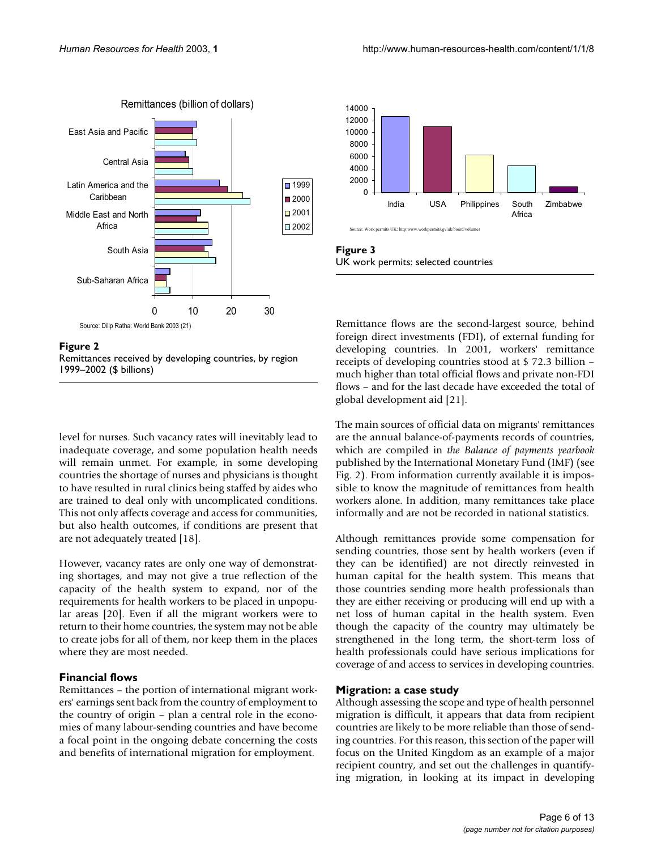

#### Remittances (billion of dollars)



level for nurses. Such vacancy rates will inevitably lead to inadequate coverage, and some population health needs will remain unmet. For example, in some developing countries the shortage of nurses and physicians is thought to have resulted in rural clinics being staffed by aides who are trained to deal only with uncomplicated conditions. This not only affects coverage and access for communities, but also health outcomes, if conditions are present that are not adequately treated [18].

However, vacancy rates are only one way of demonstrating shortages, and may not give a true reflection of the capacity of the health system to expand, nor of the requirements for health workers to be placed in unpopular areas [20]. Even if all the migrant workers were to return to their home countries, the system may not be able to create jobs for all of them, nor keep them in the places where they are most needed.

### **Financial flows**

Remittances – the portion of international migrant workers' earnings sent back from the country of employment to the country of origin – plan a central role in the economies of many labour-sending countries and have become a focal point in the ongoing debate concerning the costs and benefits of international migration for employment.



**Figure 3** UK work permits: selected countries

Remittance flows are the second-largest source, behind foreign direct investments (FDI), of external funding for developing countries. In 2001, workers' remittance receipts of developing countries stood at \$ 72.3 billion – much higher than total official flows and private non-FDI flows – and for the last decade have exceeded the total of global development aid [21].

The main sources of official data on migrants' remittances are the annual balance-of-payments records of countries, which are compiled in *the Balance of payments yearbook* published by the International Monetary Fund (IMF) (see Fig. 2). From information currently available it is impossible to know the magnitude of remittances from health workers alone. In addition, many remittances take place informally and are not be recorded in national statistics.

Although remittances provide some compensation for sending countries, those sent by health workers (even if they can be identified) are not directly reinvested in human capital for the health system. This means that those countries sending more health professionals than they are either receiving or producing will end up with a net loss of human capital in the health system. Even though the capacity of the country may ultimately be strengthened in the long term, the short-term loss of health professionals could have serious implications for coverage of and access to services in developing countries.

### **Migration: a case study**

Although assessing the scope and type of health personnel migration is difficult, it appears that data from recipient countries are likely to be more reliable than those of sending countries. For this reason, this section of the paper will focus on the United Kingdom as an example of a major recipient country, and set out the challenges in quantifying migration, in looking at its impact in developing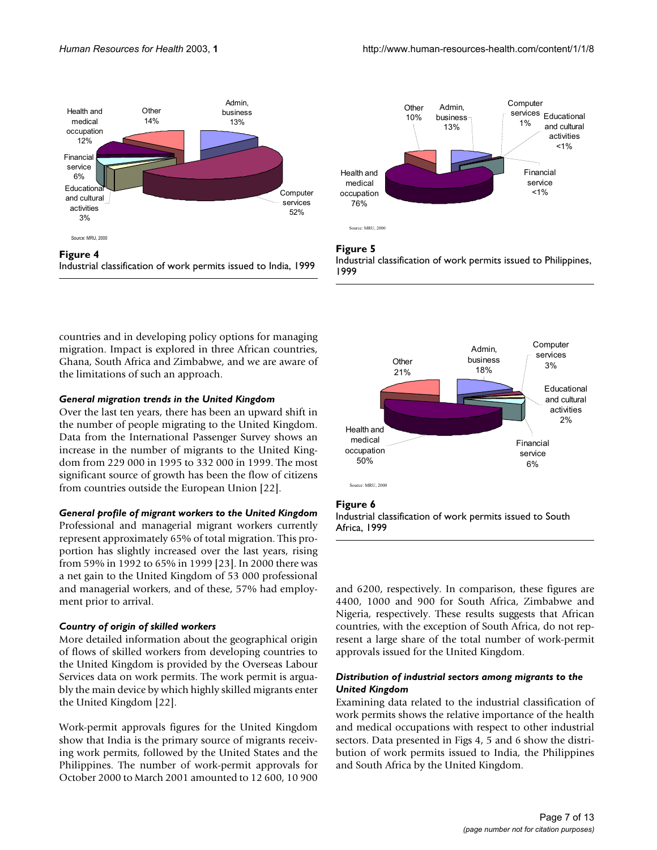





# **Figure 5**

Industrial classification of work permits issued to Philippines, 1999

countries and in developing policy options for managing migration. Impact is explored in three African countries, Ghana, South Africa and Zimbabwe, and we are aware of the limitations of such an approach.

### *General migration trends in the United Kingdom*

Over the last ten years, there has been an upward shift in the number of people migrating to the United Kingdom. Data from the International Passenger Survey shows an increase in the number of migrants to the United Kingdom from 229 000 in 1995 to 332 000 in 1999. The most significant source of growth has been the flow of citizens from countries outside the European Union [22].

# *General profile of migrant workers to the United Kingdom*

Professional and managerial migrant workers currently represent approximately 65% of total migration. This proportion has slightly increased over the last years, rising from 59% in 1992 to 65% in 1999 [23]. In 2000 there was a net gain to the United Kingdom of 53 000 professional and managerial workers, and of these, 57% had employment prior to arrival.

# *Country of origin of skilled workers*

More detailed information about the geographical origin of flows of skilled workers from developing countries to the United Kingdom is provided by the Overseas Labour Services data on work permits. The work permit is arguably the main device by which highly skilled migrants enter the United Kingdom [22].

Work-permit approvals figures for the United Kingdom show that India is the primary source of migrants receiving work permits, followed by the United States and the Philippines. The number of work-permit approvals for October 2000 to March 2001 amounted to 12 600, 10 900



Industrial classification of work permits issued to South Africa, 1999

and 6200, respectively. In comparison, these figures are 4400, 1000 and 900 for South Africa, Zimbabwe and Nigeria, respectively. These results suggests that African countries, with the exception of South Africa, do not represent a large share of the total number of work-permit approvals issued for the United Kingdom.

# *Distribution of industrial sectors among migrants to the United Kingdom*

Examining data related to the industrial classification of work permits shows the relative importance of the health and medical occupations with respect to other industrial sectors. Data presented in Figs 4, 5 and 6 show the distribution of work permits issued to India, the Philippines and South Africa by the United Kingdom.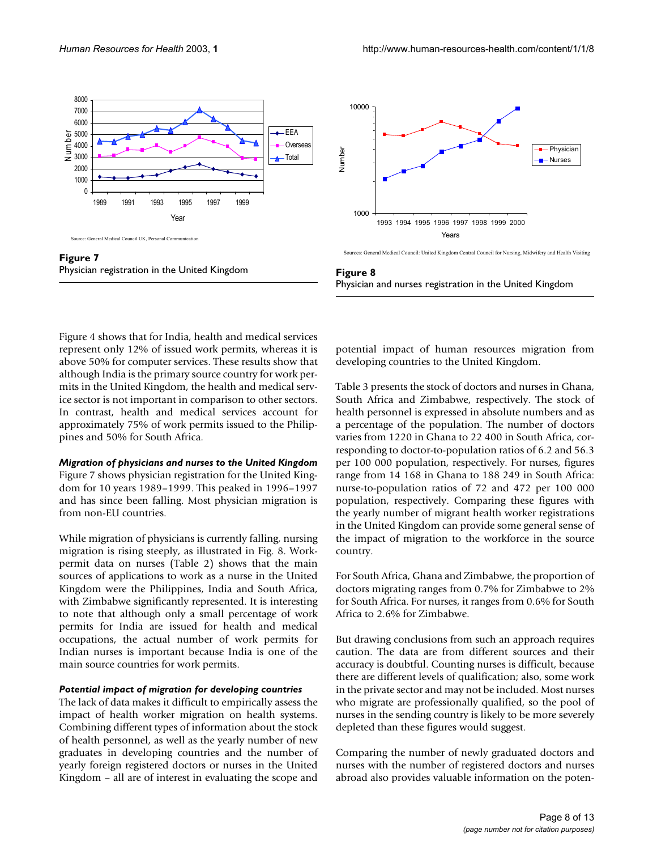





Sources: General Medical Council: United Kingdom Central Council for Nursing, Midwifery and Health Visiting



Figure 4 shows that for India, health and medical services represent only 12% of issued work permits, whereas it is above 50% for computer services. These results show that although India is the primary source country for work permits in the United Kingdom, the health and medical service sector is not important in comparison to other sectors. In contrast, health and medical services account for approximately 75% of work permits issued to the Philippines and 50% for South Africa.

#### *Migration of physicians and nurses to the United Kingdom*

Figure 7 shows physician registration for the United Kingdom for 10 years 1989–1999. This peaked in 1996–1997 and has since been falling. Most physician migration is from non-EU countries.

While migration of physicians is currently falling, nursing migration is rising steeply, as illustrated in Fig. 8. Workpermit data on nurses (Table [2](#page-8-0)) shows that the main sources of applications to work as a nurse in the United Kingdom were the Philippines, India and South Africa, with Zimbabwe significantly represented. It is interesting to note that although only a small percentage of work permits for India are issued for health and medical occupations, the actual number of work permits for Indian nurses is important because India is one of the main source countries for work permits.

### *Potential impact of migration for developing countries*

The lack of data makes it difficult to empirically assess the impact of health worker migration on health systems. Combining different types of information about the stock of health personnel, as well as the yearly number of new graduates in developing countries and the number of yearly foreign registered doctors or nurses in the United Kingdom – all are of interest in evaluating the scope and

potential impact of human resources migration from developing countries to the United Kingdom.

Table [3](#page-8-1) presents the stock of doctors and nurses in Ghana, South Africa and Zimbabwe, respectively. The stock of health personnel is expressed in absolute numbers and as a percentage of the population. The number of doctors varies from 1220 in Ghana to 22 400 in South Africa, corresponding to doctor-to-population ratios of 6.2 and 56.3 per 100 000 population, respectively. For nurses, figures range from 14 168 in Ghana to 188 249 in South Africa: nurse-to-population ratios of 72 and 472 per 100 000 population, respectively. Comparing these figures with the yearly number of migrant health worker registrations in the United Kingdom can provide some general sense of the impact of migration to the workforce in the source country.

For South Africa, Ghana and Zimbabwe, the proportion of doctors migrating ranges from 0.7% for Zimbabwe to 2% for South Africa. For nurses, it ranges from 0.6% for South Africa to 2.6% for Zimbabwe.

But drawing conclusions from such an approach requires caution. The data are from different sources and their accuracy is doubtful. Counting nurses is difficult, because there are different levels of qualification; also, some work in the private sector and may not be included. Most nurses who migrate are professionally qualified, so the pool of nurses in the sending country is likely to be more severely depleted than these figures would suggest.

Comparing the number of newly graduated doctors and nurses with the number of registered doctors and nurses abroad also provides valuable information on the poten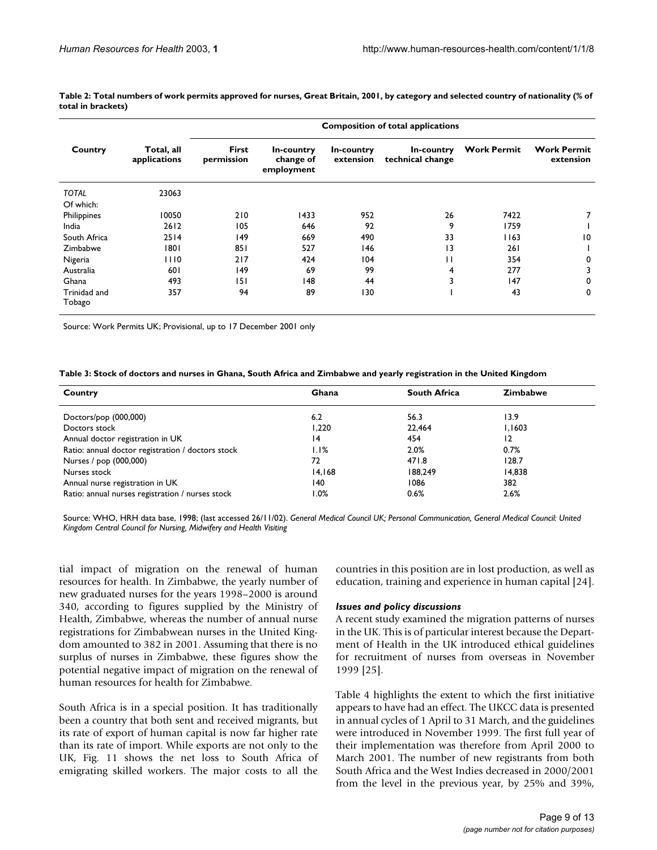Trinidad and Tobago

**Composition of total applications Country Total, all applications First permission In-country change of employment In-country extension In-country technical change Work Permit Work Permit extension** *TOTAL* 23063 Of which: Philippines 10050 210 1433 952 26 7422 7 India 2612 105 646 92 9 1759 1

South Africa 2514 149 669 490 33 1163 10 Zimbabwe 1801 851 527 146 13 261 1 Nigeria 1110 217 424 104 11 354 0 Australia 601 149 69 99 4 277 3 Ghana 493 151 148 44 3 147 0

357 94 89 130 1 43 0

<span id="page-8-0"></span>**Table 2: Total numbers of work permits approved for nurses, Great Britain, 2001, by category and selected country of nationality (% of total in brackets)**

Source: Work Permits UK; Provisional, up to 17 December 2001 only

<span id="page-8-1"></span>

| Table 3: Stock of doctors and nurses in Ghana, South Africa and Zimbabwe and yearly registration in the United Kingdom |
|------------------------------------------------------------------------------------------------------------------------|
|------------------------------------------------------------------------------------------------------------------------|

| Country                                           | Ghana  | <b>South Africa</b> | Zimbabwe |  |
|---------------------------------------------------|--------|---------------------|----------|--|
| Doctors/pop (000,000)                             | 6.2    | 56.3                | 13.9     |  |
| Doctors stock                                     | 1.220  | 22,464              | 1.1603   |  |
| Annual doctor registration in UK                  | 14     | 454                 | 12       |  |
| Ratio: annual doctor registration / doctors stock | 1.1%   | 2.0%                | 0.7%     |  |
| Nurses / pop (000,000)                            | 72     | 471.8               | 128.7    |  |
| Nurses stock                                      | 14.168 | 188,249             | 14.838   |  |
| Annual nurse registration in UK                   | 140    | 1086                | 382      |  |
| Ratio: annual nurses registration / nurses stock  | l.0%   | $0.6\%$             | 2.6%     |  |

Source: WHO, HRH data base, 1998; (last accessed 26/11/02). *General Medical Council UK; Personal Communication, General Medical Council: United Kingdom Central Council for Nursing, Midwifery and Health Visiting*

tial impact of migration on the renewal of human resources for health. In Zimbabwe, the yearly number of new graduated nurses for the years 1998–2000 is around 340, according to figures supplied by the Ministry of Health, Zimbabwe, whereas the number of annual nurse registrations for Zimbabwean nurses in the United Kingdom amounted to 382 in 2001. Assuming that there is no surplus of nurses in Zimbabwe, these figures show the potential negative impact of migration on the renewal of human resources for health for Zimbabwe.

South Africa is in a special position. It has traditionally been a country that both sent and received migrants, but its rate of export of human capital is now far higher rate than its rate of import. While exports are not only to the UK, Fig. 11 shows the net loss to South Africa of emigrating skilled workers. The major costs to all the countries in this position are in lost production, as well as education, training and experience in human capital [24].

#### *Issues and policy discussions*

A recent study examined the migration patterns of nurses in the UK. This is of particular interest because the Department of Health in the UK introduced ethical guidelines for recruitment of nurses from overseas in November 1999 [25].

Table [4](#page-9-0) highlights the extent to which the first initiative appears to have had an effect. The UKCC data is presented in annual cycles of 1 April to 31 March, and the guidelines were introduced in November 1999. The first full year of their implementation was therefore from April 2000 to March 2001. The number of new registrants from both South Africa and the West Indies decreased in 2000/2001 from the level in the previous year, by 25% and 39%,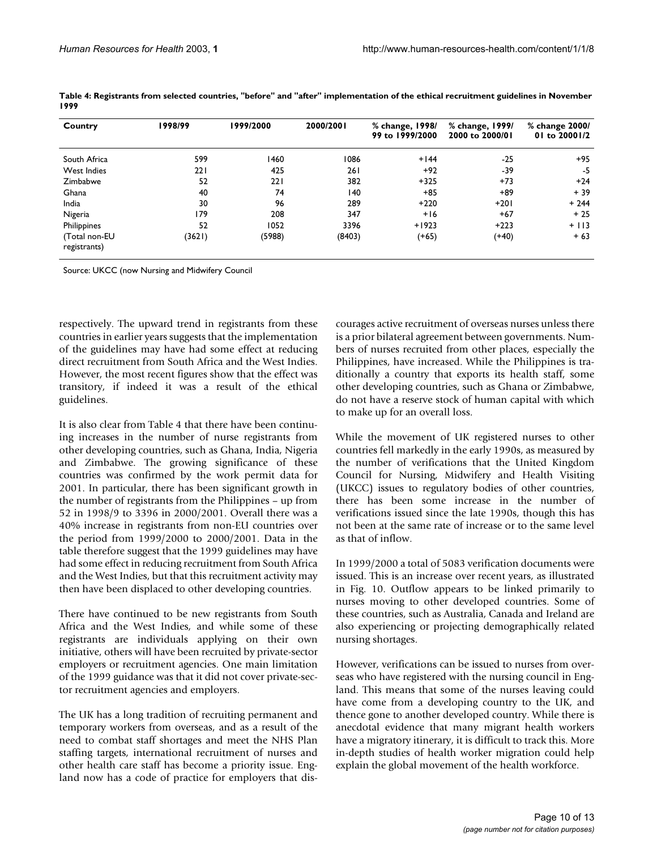| Country                       | 1998/99 | 1999/2000 | 2000/2001 | % change, 1998/<br>99 to 1999/2000 | % change, 1999/<br>2000 to 2000/01 | % change 2000/<br>01 to 20001/2 |
|-------------------------------|---------|-----------|-----------|------------------------------------|------------------------------------|---------------------------------|
| South Africa                  | 599     | 1460      | 1086      | $+144$                             | $-25$                              | +95                             |
| West Indies                   | 221     | 425       | 261       | $+92$                              | $-39$                              | -5                              |
| Zimbabwe                      | 52      | 221       | 382       | $+325$                             | $+73$                              | $+24$                           |
| Ghana                         | 40      | 74        | 140       | $+85$                              | $+89$                              | $+39$                           |
| India                         | 30      | 96        | 289       | $+220$                             | $+201$                             | $+244$                          |
| Nigeria                       | 179     | 208       | 347       | $+16$                              | $+67$                              | $+25$                           |
| Philippines                   | 52      | 1052      | 3396      | $+1923$                            | $+223$                             | $+113$                          |
| (Total non-EU<br>registrants) | (3621)  | (5988)    | (8403)    | $(+65)$                            | $(+40)$                            | $+63$                           |

<span id="page-9-0"></span>**Table 4: Registrants from selected countries, "before" and "after" implementation of the ethical recruitment guidelines in November 1999**

Source: UKCC (now Nursing and Midwifery Council

respectively. The upward trend in registrants from these countries in earlier years suggests that the implementation of the guidelines may have had some effect at reducing direct recruitment from South Africa and the West Indies. However, the most recent figures show that the effect was transitory, if indeed it was a result of the ethical guidelines.

It is also clear from Table [4](#page-9-0) that there have been continuing increases in the number of nurse registrants from other developing countries, such as Ghana, India, Nigeria and Zimbabwe. The growing significance of these countries was confirmed by the work permit data for 2001. In particular, there has been significant growth in the number of registrants from the Philippines – up from 52 in 1998/9 to 3396 in 2000/2001. Overall there was a 40% increase in registrants from non-EU countries over the period from 1999/2000 to 2000/2001. Data in the table therefore suggest that the 1999 guidelines may have had some effect in reducing recruitment from South Africa and the West Indies, but that this recruitment activity may then have been displaced to other developing countries.

There have continued to be new registrants from South Africa and the West Indies, and while some of these registrants are individuals applying on their own initiative, others will have been recruited by private-sector employers or recruitment agencies. One main limitation of the 1999 guidance was that it did not cover private-sector recruitment agencies and employers.

The UK has a long tradition of recruiting permanent and temporary workers from overseas, and as a result of the need to combat staff shortages and meet the NHS Plan staffing targets, international recruitment of nurses and other health care staff has become a priority issue. England now has a code of practice for employers that discourages active recruitment of overseas nurses unless there is a prior bilateral agreement between governments. Numbers of nurses recruited from other places, especially the Philippines, have increased. While the Philippines is traditionally a country that exports its health staff, some other developing countries, such as Ghana or Zimbabwe, do not have a reserve stock of human capital with which to make up for an overall loss.

While the movement of UK registered nurses to other countries fell markedly in the early 1990s, as measured by the number of verifications that the United Kingdom Council for Nursing, Midwifery and Health Visiting (UKCC) issues to regulatory bodies of other countries, there has been some increase in the number of verifications issued since the late 1990s, though this has not been at the same rate of increase or to the same level as that of inflow.

In 1999/2000 a total of 5083 verification documents were issued. This is an increase over recent years, as illustrated in Fig. 10. Outflow appears to be linked primarily to nurses moving to other developed countries. Some of these countries, such as Australia, Canada and Ireland are also experiencing or projecting demographically related nursing shortages.

However, verifications can be issued to nurses from overseas who have registered with the nursing council in England. This means that some of the nurses leaving could have come from a developing country to the UK, and thence gone to another developed country. While there is anecdotal evidence that many migrant health workers have a migratory itinerary, it is difficult to track this. More in-depth studies of health worker migration could help explain the global movement of the health workforce.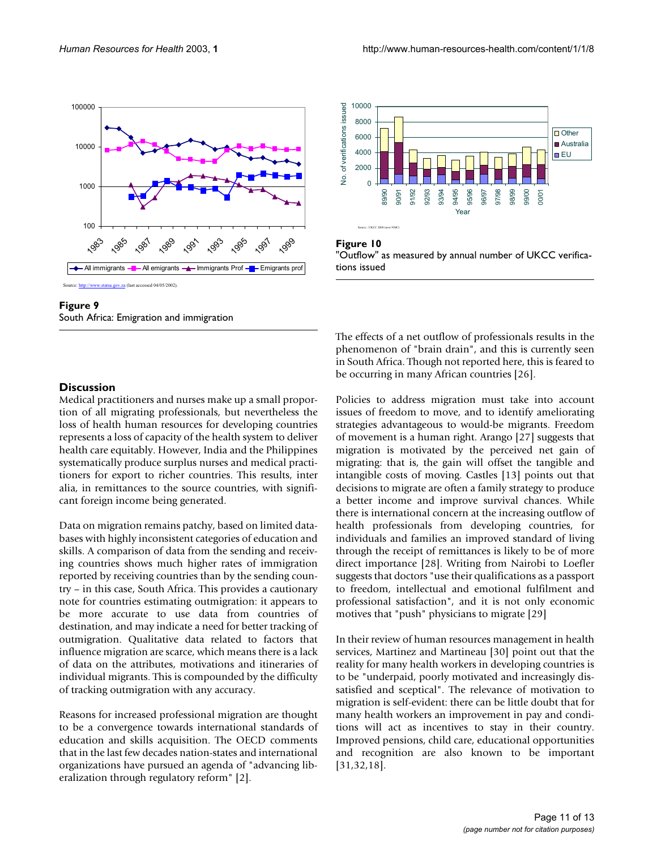



South Africa: Emigration and immigration





# **Discussion**

Medical practitioners and nurses make up a small proportion of all migrating professionals, but nevertheless the loss of health human resources for developing countries represents a loss of capacity of the health system to deliver health care equitably. However, India and the Philippines systematically produce surplus nurses and medical practitioners for export to richer countries. This results, inter alia, in remittances to the source countries, with significant foreign income being generated.

Data on migration remains patchy, based on limited databases with highly inconsistent categories of education and skills. A comparison of data from the sending and receiving countries shows much higher rates of immigration reported by receiving countries than by the sending country – in this case, South Africa. This provides a cautionary note for countries estimating outmigration: it appears to be more accurate to use data from countries of destination, and may indicate a need for better tracking of outmigration. Qualitative data related to factors that influence migration are scarce, which means there is a lack of data on the attributes, motivations and itineraries of individual migrants. This is compounded by the difficulty of tracking outmigration with any accuracy.

Reasons for increased professional migration are thought to be a convergence towards international standards of education and skills acquisition. The OECD comments that in the last few decades nation-states and international organizations have pursued an agenda of "advancing liberalization through regulatory reform" [2].

The effects of a net outflow of professionals results in the phenomenon of "brain drain", and this is currently seen in South Africa. Though not reported here, this is feared to be occurring in many African countries [26].

Policies to address migration must take into account issues of freedom to move, and to identify ameliorating strategies advantageous to would-be migrants. Freedom of movement is a human right. Arango [27] suggests that migration is motivated by the perceived net gain of migrating: that is, the gain will offset the tangible and intangible costs of moving. Castles [13] points out that decisions to migrate are often a family strategy to produce a better income and improve survival chances. While there is international concern at the increasing outflow of health professionals from developing countries, for individuals and families an improved standard of living through the receipt of remittances is likely to be of more direct importance [28]. Writing from Nairobi to Loefler suggests that doctors "use their qualifications as a passport to freedom, intellectual and emotional fulfilment and professional satisfaction", and it is not only economic motives that "push" physicians to migrate [29]

In their review of human resources management in health services, Martinez and Martineau [30] point out that the reality for many health workers in developing countries is to be "underpaid, poorly motivated and increasingly dissatisfied and sceptical". The relevance of motivation to migration is self-evident: there can be little doubt that for many health workers an improvement in pay and conditions will act as incentives to stay in their country. Improved pensions, child care, educational opportunities and recognition are also known to be important [31,32,18].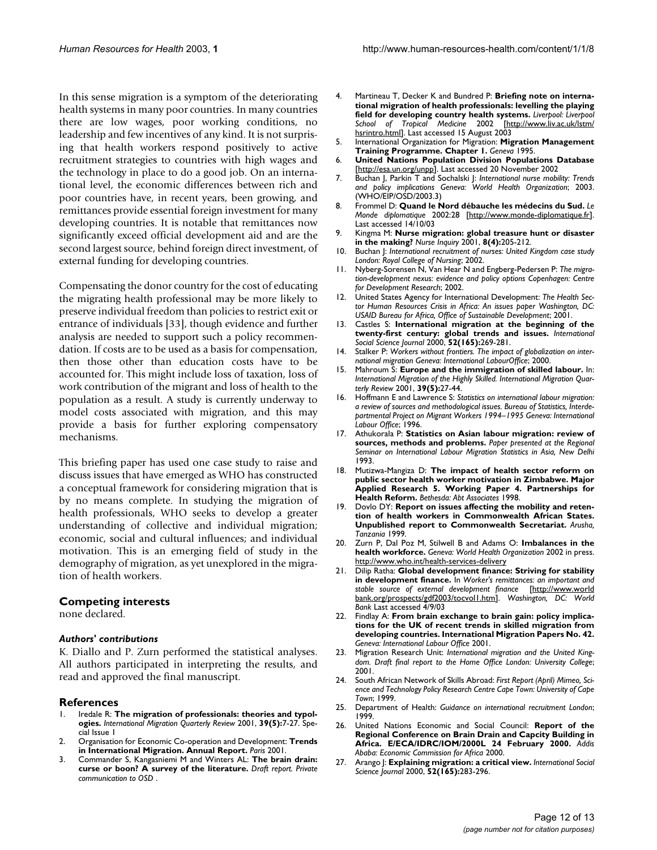In this sense migration is a symptom of the deteriorating health systems in many poor countries. In many countries there are low wages, poor working conditions, no leadership and few incentives of any kind. It is not surprising that health workers respond positively to active recruitment strategies to countries with high wages and the technology in place to do a good job. On an international level, the economic differences between rich and poor countries have, in recent years, been growing, and remittances provide essential foreign investment for many developing countries. It is notable that remittances now significantly exceed official development aid and are the second largest source, behind foreign direct investment, of external funding for developing countries.

Compensating the donor country for the cost of educating the migrating health professional may be more likely to preserve individual freedom than policies to restrict exit or entrance of individuals [33], though evidence and further analysis are needed to support such a policy recommendation. If costs are to be used as a basis for compensation, then those other than education costs have to be accounted for. This might include loss of taxation, loss of work contribution of the migrant and loss of health to the population as a result. A study is currently underway to model costs associated with migration, and this may provide a basis for further exploring compensatory mechanisms.

This briefing paper has used one case study to raise and discuss issues that have emerged as WHO has constructed a conceptual framework for considering migration that is by no means complete. In studying the migration of health professionals, WHO seeks to develop a greater understanding of collective and individual migration; economic, social and cultural influences; and individual motivation. This is an emerging field of study in the demography of migration, as yet unexplored in the migration of health workers.

# **Competing interests**

none declared.

#### *Authors' contributions*

K. Diallo and P. Zurn performed the statistical analyses. All authors participated in interpreting the results, and read and approved the final manuscript.

### **References**

- 1. Iredale R: **[The migration of professionals: theories and typol](http://www.ncbi.nlm.nih.gov/entrez/query.fcgi?cmd=Retrieve&db=PubMed&dopt=Abstract&list_uids=10.1111/1468-2435.00169)[ogies.](http://www.ncbi.nlm.nih.gov/entrez/query.fcgi?cmd=Retrieve&db=PubMed&dopt=Abstract&list_uids=10.1111/1468-2435.00169)** *International Migration Quarterly Review* 2001, **39(5):**7-27. Special Issue 1
- 2. Organisation for Economic Co-operation and Development: **Trends in International Migration. Annual Report.** *Paris* 2001.
- 3. Commander S, Kangasniemi M and Winters AL: **The brain drain: curse or boon? A survey of the literature.** *Draft report. Private communication to OSD* .
- 4. Martineau T, Decker K and Bundred P: **Briefing note on international migration of health professionals: levelling the playing field for developing country health systems.** *Liverpool: Liverpool School of Tropical Medicine* 2002 [\[http://www.liv.ac.uk/lstm/](http://www.liv.ac.uk/lstm/hsrintro.html) [hsrintro.html\]](http://www.liv.ac.uk/lstm/hsrintro.html). Last accessed 15 August 2003
- 5. International Organization for Migration: **Migration Management Training Programme. Chapter 1.** *Geneva* 1995.
- 6. **United Nations Population Division Populations Database** [<http://esa.un.org/unpp>]. Last accessed 20 November 2002
- 7. Buchan J, Parkin T and Sochalski J: *International nurse mobility: Trends and policy implications Geneva: World Health Organization*; 2003. (WHO/EIP/OSD/2003.3)
- 8. Frommel D: **Quand le Nord débauche les médecins du Sud.** *Le Monde diplomatique* 2002:28 [\[http://www.monde-diplomatique.fr\]](http://www.monde-diplomatique.fr). Last accessed 14/10/03
- 9. Kingma M: **[Nurse migration: global treasure hunt or disaster](http://www.ncbi.nlm.nih.gov/entrez/query.fcgi?cmd=Retrieve&db=PubMed&dopt=Abstract&list_uids=10.1046/j.1440-1800.2001.00116.x) [in the making?](http://www.ncbi.nlm.nih.gov/entrez/query.fcgi?cmd=Retrieve&db=PubMed&dopt=Abstract&list_uids=10.1046/j.1440-1800.2001.00116.x)** *Nurse Inquiry* 2001, **8(4):**205-212.
- 10. Buchan J: *International recruitment of nurses: United Kingdom case study London: Royal College of Nursing*; 2002.
- 11. Nyberg-Sorensen N, Van Hear N and Engberg-Pedersen P: *The migration-development nexus: evidence and policy options Copenhagen: Centre for Development Research*; 2002.
- 12. United States Agency for International Development: *The Health Sector Human Resources Crisis in Africa: An issues paper Washington, DC: USAID Bureau for Africa, Office of Sustainable Development*; 2001.
- 13. Castles S: **[International migration at the beginning of the](http://www.ncbi.nlm.nih.gov/entrez/query.fcgi?cmd=Retrieve&db=PubMed&dopt=Abstract&list_uids=10.1111/1468-2451.00258) [twenty-first century: global trends and issues.](http://www.ncbi.nlm.nih.gov/entrez/query.fcgi?cmd=Retrieve&db=PubMed&dopt=Abstract&list_uids=10.1111/1468-2451.00258)** *International Social Science Journal* 2000, **52(165):**269-281.
- 14. Stalker P: *Workers without frontiers. The impact of globalization on international migration Geneva: International LabourOffice*; 2000.
- 15. Mahroum S: **[Europe and the immigration of skilled labour.](http://www.ncbi.nlm.nih.gov/entrez/query.fcgi?cmd=Retrieve&db=PubMed&dopt=Abstract&list_uids=10.1111/1468-2435.00170)** In: *International Migration of the Highly Skilled. International Migration Quarterly Review* 2001, **39(5):**27-44.
- 16. Hoffmann E and Lawrence S: *Statistics on international labour migration: a review of sources and methodological issues. Bureau of Statistics, Interdepartmental Project on Migrant Workers 1994–1995 Geneva: International Labour Office*; 1996.
- 17. Athukorala P: **Statistics on Asian labour migration: review of sources, methods and problems.** *Paper presented at the Regional Seminar on International Labour Migration Statistics in Asia, New Delhi* 1993.
- 18. Mutizwa-Mangiza D: **The impact of health sector reform on public sector health worker motivation in Zimbabwe. Major Applied Research 5. Working Paper 4. Partnerships for Health Reform.** *Bethesda: Abt Associates* 1998.
- 19. Dovlo DY: **Report on issues affecting the mobility and retention of health workers in Commonwealth African States. Unpublished report to Commonwealth Secretariat.** *Arusha, Tanzania* 1999.
- 20. Zurn P, Dal Poz M, Stilwell B and Adams O: **Imbalances in the health workforce.** *Geneva: World Health Organization* 2002 in press. <http://www.who.int/health-services-delivery>
- 21. Dilip Ratha: **Global development finance: Striving for stability in development finance.** In *Worker's remittances: an important and stable source of external development finance* [\[http://www.world](http://www.worldbank.org/prospects/gdf2003/tocvol1.htm) [bank.org/prospects/gdf2003/tocvol1.htm\]](http://www.worldbank.org/prospects/gdf2003/tocvol1.htm). *Washington, DC: World Bank* Last accessed 4/9/03
- 22. Findlay A: **From brain exchange to brain gain: policy implications for the UK of recent trends in skilled migration from developing countries. International Migration Papers No. 42.** *Geneva: International Labour Office* 2001.
- 23. Migration Research Unit: *International migration and the United Kingdom. Draft final report to the Home Office London: University College*; 2001.
- 24. South African Network of Skills Abroad: *First Report (April) Mimeo, Science and Technology Policy Research Centre Cape Town: University of Cape Town*; 1999.
- 25. Department of Health: *Guidance on international recruitment London*; 1999.
- 26. United Nations Economic and Social Council: **Report of the Regional Conference on Brain Drain and Capcity Building in Africa. E/ECA/IDRC/IOM/2000L 24 February 2000.** *Addis Ababa: Economic Commission for Africa* 2000.
- 27. Arango J: **[Explaining migration: a critical view.](http://www.ncbi.nlm.nih.gov/entrez/query.fcgi?cmd=Retrieve&db=PubMed&dopt=Abstract&list_uids=10.1111/1468-2451.00259)** *International Social Science Journal* 2000, **52(165):**283-296.